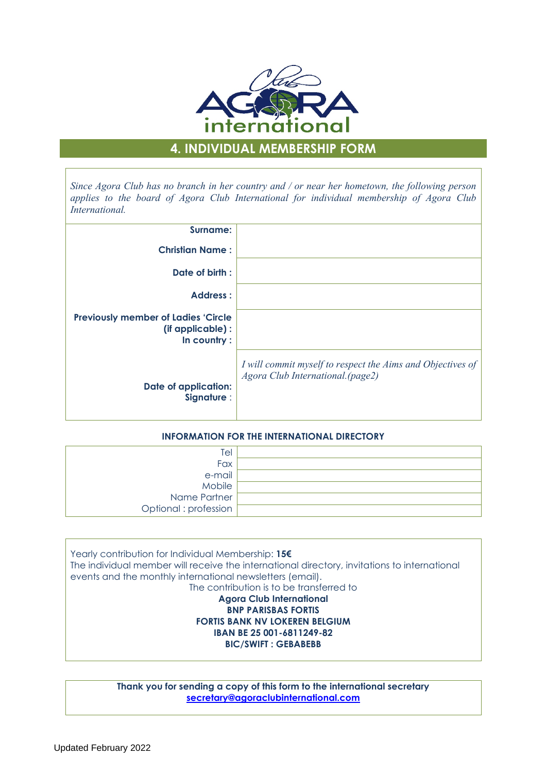

# **4. INDIVIDUAL MEMBERSHIP FORM**

*Since Agora Club has no branch in her country and / or near her hometown, the following person applies to the board of Agora Club International for individual membership of Agora Club International.*

| Surname:                                                                      |                                                                                                |
|-------------------------------------------------------------------------------|------------------------------------------------------------------------------------------------|
| <b>Christian Name:</b>                                                        |                                                                                                |
| Date of birth :                                                               |                                                                                                |
| <b>Address:</b>                                                               |                                                                                                |
| <b>Previously member of Ladies 'Circle</b><br>(if applicable):<br>In country: |                                                                                                |
| <b>Date of application:</b><br>Signature :                                    | I will commit myself to respect the Aims and Objectives of<br>Agora Club International.(page2) |

# **INFORMATION FOR THE INTERNATIONAL DIRECTORY**

| Tel                   |  |
|-----------------------|--|
| Fax                   |  |
| e-mail                |  |
| Mobile                |  |
| Name Partner          |  |
| Optional : profession |  |

Yearly contribution for Individual Membership: **15€** The individual member will receive the international directory, invitations to international events and the monthly international newsletters (email). The contribution is to be transferred to **Agora Club International BNP PARISBAS FORTIS FORTIS BANK NV LOKEREN BELGIUM IBAN BE 25 001-6811249-82 BIC/SWIFT : GEBABEBB**

> **Thank you for sending a copy of this form to the international secretary secretary@agoraclubinternational.com**